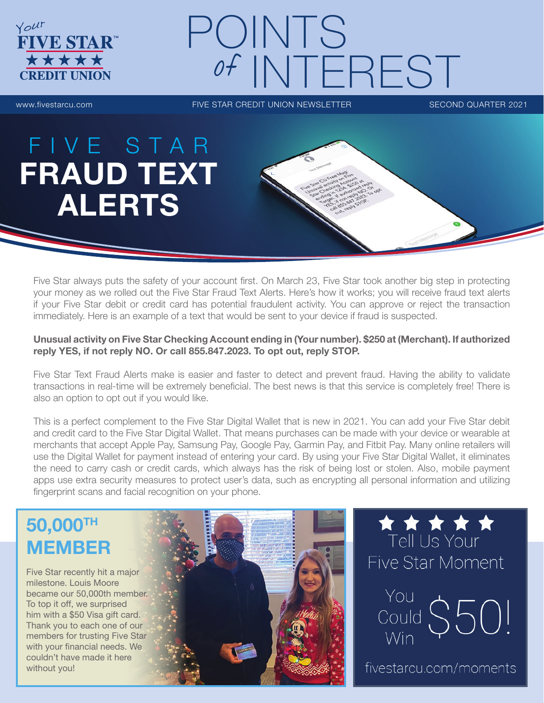

# POINTS of INTEREST

www.fivestarcu.com **FIVE STAR CREDIT UNION NEWSLETTER** SECOND QUARTER 2021

# FIVE STAR FRAUD TEXT ALERTS

Five Star always puts the safety of your account first. On March 23, Five Star took another big step in protecting your money as we rolled out the Five Star Fraud Text Alerts. Here's how it works; you will receive fraud text alerts if your Five Star debit or credit card has potential fraudulent activity. You can approve or reject the transaction immediately. Here is an example of a text that would be sent to your device if fraud is suspected.

#### Unusual activity on Five Star Checking Account ending in (Your number). \$250 at (Merchant). If authorized reply YES, if not reply NO. Or call 855.847.2023. To opt out, reply STOP.

Five Star Text Fraud Alerts make is easier and faster to detect and prevent fraud. Having the ability to validate transactions in real-time will be extremely beneficial. The best news is that this service is completely free! There is also an option to opt out if you would like.

This is a perfect complement to the Five Star Digital Wallet that is new in 2021. You can add your Five Star debit and credit card to the Five Star Digital Wallet. That means purchases can be made with your device or wearable at merchants that accept Apple Pay, Samsung Pay, Google Pay, Garmin Pay, and Fitbit Pay. Many online retailers will use the Digital Wallet for payment instead of entering your card. By using your Five Star Digital Wallet, it eliminates the need to carry cash or credit cards, which always has the risk of being lost or stolen. Also, mobile payment apps use extra security measures to protect user's data, such as encrypting all personal information and utilizing fingerprint scans and facial recognition on your phone.

# 50,000TH MEMBER

Five Star recently hit a major milestone. Louis Moore became our 50,000th member. To top it off, we surprised him with a \$50 Visa gift card. Thank you to each one of our members for trusting Five Star with your financial needs. We couldn't have made it here without you!





You Could  $$50!$ Win

fivestarcu.com/moments